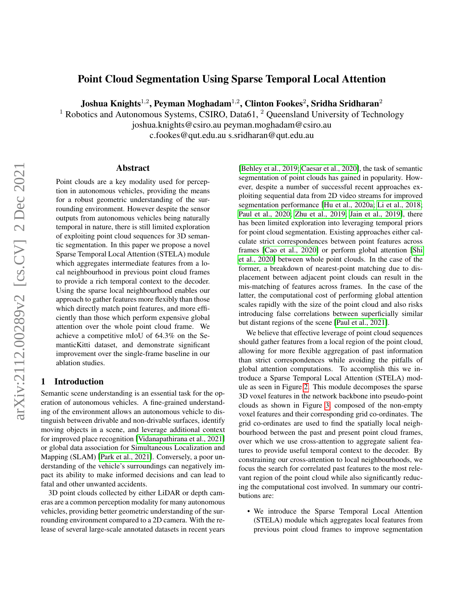# Point Cloud Segmentation Using Sparse Temporal Local Attention

Joshua Knights $^{1,2}$ , Peyman Moghadam $^{1,2}$ , Clinton Fookes $^2$ , Sridha Sridharan $^2$ 

<sup>1</sup> Robotics and Autonomous Systems, CSIRO, Data61, <sup>2</sup> Queensland University of Technology

joshua.knights@csiro.au peyman.moghadam@csiro.au

c.fookes@qut.edu.au s.sridharan@qut.edu.au

### Abstract

Point clouds are a key modality used for perception in autonomous vehicles, providing the means for a robust geometric understanding of the surrounding environment. However despite the sensor outputs from autonomous vehicles being naturally temporal in nature, there is still limited exploration of exploiting point cloud sequences for 3D semantic segmentation. In this paper we propose a novel Sparse Temporal Local Attention (STELA) module which aggregates intermediate features from a local neighbourhood in previous point cloud frames to provide a rich temporal context to the decoder. Using the sparse local neighbourhood enables our approach to gather features more flexibly than those which directly match point features, and more efficiently than those which perform expensive global attention over the whole point cloud frame. We achieve a competitive mIoU of 64.3% on the SemanticKitti dataset, and demonstrate significant improvement over the single-frame baseline in our ablation studies.

#### 1 Introduction

Semantic scene understanding is an essential task for the operation of autonomous vehicles. A fine-grained understanding of the environment allows an autonomous vehicle to distinguish between drivable and non-drivable surfaces, identify moving objects in a scene, and leverage additional context for improved place recognition [\[Vidanapathirana et al., 2021\]](#page-7-0) or global data association for Simultaneous Localization and Mapping (SLAM) [\[Park et al., 2021\]](#page-7-1). Conversely, a poor understanding of the vehicle's surroundings can negatively impact its ability to make informed decisions and can lead to fatal and other unwanted accidents.

3D point clouds collected by either LiDAR or depth cameras are a common perception modality for many autonomous vehicles, providing better geometric understanding of the surrounding environment compared to a 2D camera. With the release of several large-scale annotated datasets in recent years [\[Behley et al., 2019;](#page-6-0) [Caesar et al., 2020\]](#page-6-1), the task of semantic segmentation of point clouds has gained in popularity. However, despite a number of successful recent approaches exploiting sequential data from 2D video streams for improved segmentation performance [\[Hu et al., 2020a;](#page-6-2) [Li et al., 2018;](#page-6-3) [Paul et al., 2020;](#page-7-2) [Zhu et al., 2019;](#page-7-3) [Jain et al., 2019\]](#page-6-4), there has been limited exploration into leveraging temporal priors for point cloud segmentation. Existing approaches either calculate strict correspondences between point features across frames [\[Cao et al., 2020\]](#page-6-5) or perform global attention [\[Shi](#page-7-4) [et al., 2020\]](#page-7-4) between whole point clouds. In the case of the former, a breakdown of nearest-point matching due to displacement between adjacent point clouds can result in the mis-matching of features across frames. In the case of the latter, the computational cost of performing global attention scales rapidly with the size of the point cloud and also risks introducing false correlations between superficially similar but distant regions of the scene [\[Paul et al., 2021\]](#page-7-5).

We believe that effective leverage of point cloud sequences should gather features from a local region of the point cloud, allowing for more flexible aggregation of past information than strict correspondences while avoiding the pitfalls of global attention computations. To accomplish this we introduce a Sparse Temporal Local Attention (STELA) module as seen in Figure [2.](#page-3-0) This module decomposes the sparse 3D voxel features in the network backbone into pseudo-point clouds as shown in Figure [3,](#page-3-1) composed of the non-empty voxel features and their corresponding grid co-ordinates. The grid co-ordinates are used to find the spatially local neighbourhood between the past and present point cloud frames, over which we use cross-attention to aggregate salient features to provide useful temporal context to the decoder. By constraining our cross-attention to local neighbourhoods, we focus the search for correlated past features to the most relevant region of the point cloud while also significantly reducing the computational cost involved. In summary our contributions are:

• We introduce the Sparse Temporal Local Attention (STELA) module which aggregates local features from previous point cloud frames to improve segmentation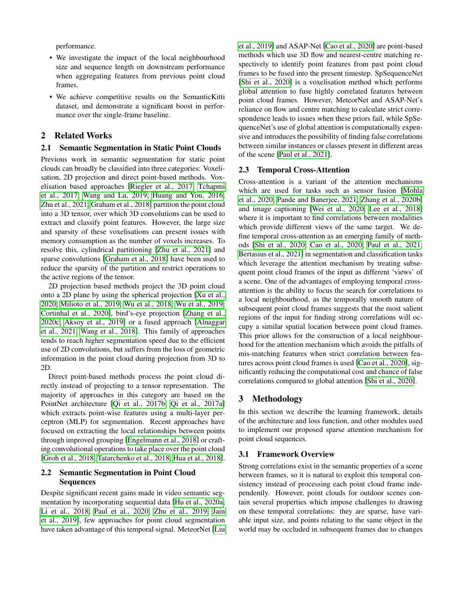performance.

- We investigate the impact of the local neighbourhood size and sequence length on downstream performance when aggregating features from previous point cloud frames.
- We achieve competitive results on the SemanticKitti dataset, and demonstrate a significant boost in performance over the single-frame baseline.

# 2 Related Works

### 2.1 Semantic Segmentation in Static Point Clouds

Previous work in semantic segmentation for static point clouds can broadly be classified into three categories: Voxelisation, 2D projection and direct point-based methods. Voxelisation based approaches [\[Riegler et al., 2017;](#page-7-6) [Tchapmi](#page-7-7) [et al., 2017;](#page-7-7) [Wang and Lu, 2019;](#page-7-8) [Huang and You, 2016;](#page-6-6) [Zhu et al., 2021;](#page-7-9) [Graham et al., 2018\]](#page-6-7) partition the point cloud into a 3D tensor, over which 3D convolutions can be used to extract and classify point features. However, the large size and sparsity of these voxelisations can present issues with memory consumption as the number of voxels increases. To resolve this, cylindrical partitioning [\[Zhu et al., 2021\]](#page-7-9) and sparse convolutions [\[Graham et al., 2018\]](#page-6-7) have been used to reduce the sparsity of the partition and restrict operations to the active regions of the tensor.

2D projection based methods project the 3D point cloud onto a 2D plane by using the spherical projection [\[Xu et al.,](#page-7-10) [2020;](#page-7-10) [Milioto et al., 2019;](#page-6-8) [Wu et al., 2018;](#page-7-11) [Wu et al., 2019;](#page-7-12) [Cortinhal et al., 2020\]](#page-6-9), bird's-eye projection [\[Zhang et al.,](#page-7-13) [2020c;](#page-7-13) [Aksoy et al., 2019\]](#page-6-10) or a fused approach [\[Alnaggar](#page-6-11) [et al., 2021;](#page-6-11) [Wang et al., 2018\]](#page-7-14). This family of approaches tends to reach higher segmentation speed due to the efficient use of 2D convolutions, but suffers from the loss of geometric information in the point cloud during projection from 3D to 2D.

Direct point-based methods process the point cloud directly instead of projecting to a tensor representation. The majority of approaches in this category are based on the PointNet architecture [\[Qi et al., 2017b;](#page-7-15) [Qi et al., 2017a\]](#page-7-16) which extracts point-wise features using a multi-layer perceptron (MLP) for segmentation. Recent approaches have focused on extracting the local relationships between points through improved grouping [\[Engelmann et al., 2018\]](#page-6-12) or crafting convolutional operations to take place over the point cloud [\[Groh et al., 2018;](#page-6-13) [Tatarchenko et al., 2018;](#page-7-17) [Hua et al., 2018\]](#page-6-14).

# 2.2 Semantic Segmentation in Point Cloud Sequences

Despite significant recent gains made in video semantic segmentation by incorporating sequential data [\[Hu et al., 2020a;](#page-6-2) [Li et al., 2018;](#page-6-3) [Paul et al., 2020;](#page-7-2) [Zhu et al., 2019;](#page-7-3) [Jain](#page-6-4) [et al., 2019\]](#page-6-4), few approaches for point cloud segmentation have taken advantage of this temporal signal. MeteorNet [\[Liu](#page-6-15) [et al., 2019\]](#page-6-15) and ASAP-Net [\[Cao et al., 2020\]](#page-6-5) are point-based methods which use 3D flow and nearest-centre matching respectively to identify point features from past point cloud frames to be fused into the present timestep. SpSequenceNet [\[Shi et al., 2020\]](#page-7-4) is a voxelisation method which performs global attention to fuse highly correlated features between point cloud frames. However, MeteorNet and ASAP-Net's reliance on flow and centre matching to calculate strict correspondence leads to issues when these priors fail, while SpSequenceNet's use of global attention is computationally expensive and introduces the possibility of finding false correlations between similar instances or classes present in different areas of the scene [\[Paul et al., 2021\]](#page-7-5).

### 2.3 Temporal Cross-Attention

Cross-attention is a variant of the attention mechanisms which are used for tasks such as sensor fusion [\[Mohla](#page-6-16) [et al., 2020;](#page-6-16) [Pande and Banerjee, 2021;](#page-7-18) [Zhang et al., 2020b\]](#page-7-19) and image captioning [\[Wei et al., 2020;](#page-7-20) [Lee et al., 2018\]](#page-6-17) where it is important to find correlations between modalities which provide different views of the same target. We define temporal cross-attention as an emerging family of methods [\[Shi et al., 2020;](#page-7-4) [Cao et al., 2020;](#page-6-5) [Paul et al., 2021;](#page-7-5) [Bertasius et al., 2021\]](#page-6-18) in segmentation and classification tasks which leverage the attention mechanism by treating subsequent point cloud frames of the input as different 'views' of a scene. One of the advantages of employing temporal crossattention is the ability to focus the search for correlations to a local neighbourhood, as the temporally smooth nature of subsequent point cloud frames suggests that the most salient regions of the input for finding strong correlations will occupy a similar spatial location between point cloud frames. This prior allows for the construction of a local neighbourhood for the attention mechanism which avoids the pitfalls of mis-matching features when strict correlation between features across point cloud frames is used [\[Cao et al., 2020\]](#page-6-5), significantly reducing the computational cost and chance of false correlations compared to global attention [\[Shi et al., 2020\]](#page-7-4).

# 3 Methodology

In this section we describe the learning framework, details of the architecture and loss function, and other modules used to implement our proposed sparse attention mechanism for point cloud sequences.

# 3.1 Framework Overview

Strong correlations exist in the semantic properties of a scene between frames, so it is natural to exploit this temporal consistency instead of processing each point cloud frame independently. However, point clouds for outdoor scenes contain several properties which impose challenges to drawing on these temporal correlations: they are sparse, have variable input size, and points relating to the same object in the world may be occluded in subsequent frames due to changes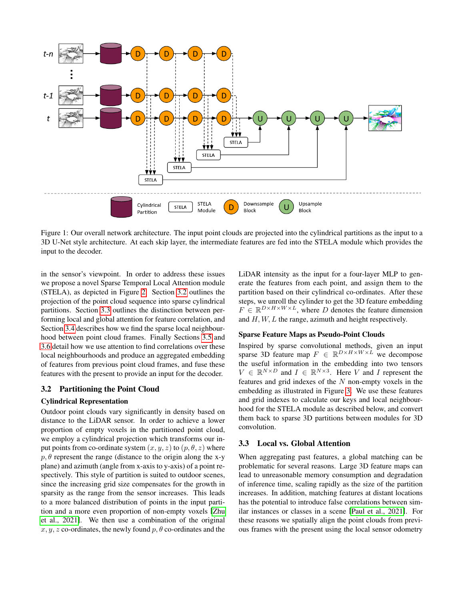

<span id="page-2-2"></span>Figure 1: Our overall network architecture. The input point clouds are projected into the cylindrical partitions as the input to a 3D U-Net style architecture. At each skip layer, the intermediate features are fed into the STELA module which provides the input to the decoder.

in the sensor's viewpoint. In order to address these issues we propose a novel Sparse Temporal Local Attention module (STELA), as depicted in Figure [2.](#page-3-0) Section [3.2](#page-2-0) outlines the projection of the point cloud sequence into sparse cylindrical partitions. Section [3.3](#page-2-1) outlines the distinction between performing local and global attention for feature correlation, and Section [3.4](#page-3-2) describes how we find the sparse local neighbourhood between point cloud frames. Finally Sections [3.5](#page-4-0) and [3.6](#page-4-1) detail how we use attention to find correlations over these local neighbourhoods and produce an aggregated embedding of features from previous point cloud frames, and fuse these features with the present to provide an input for the decoder.

### <span id="page-2-0"></span>3.2 Partitioning the Point Cloud

### Cylindrical Representation

Outdoor point clouds vary significantly in density based on distance to the LiDAR sensor. In order to achieve a lower proportion of empty voxels in the partitioned point cloud, we employ a cylindrical projection which transforms our input points from co-ordinate system  $(x, y, z)$  to  $(p, \theta, z)$  where  $p, \theta$  represent the range (distance to the origin along the x-y plane) and azimuth (angle from x-axis to y-axis) of a point respectively. This style of partition is suited to outdoor scenes, since the increasing grid size compensates for the growth in sparsity as the range from the sensor increases. This leads to a more balanced distribution of points in the input partition and a more even proportion of non-empty voxels [\[Zhu](#page-7-9) [et al., 2021\]](#page-7-9). We then use a combination of the original  $x, y, z$  co-ordinates, the newly found  $p, \theta$  co-ordinates and the LiDAR intensity as the input for a four-layer MLP to generate the features from each point, and assign them to the partition based on their cylindrical co-ordinates. After these steps, we unroll the cylinder to get the 3D feature embedding  $F \in \mathbb{R}^{D \times H \times W \times L}$ , where D denotes the feature dimension and  $H, W, L$  the range, azimuth and height respectively.

#### Sparse Feature Maps as Pseudo-Point Clouds

Inspired by sparse convolutional methods, given an input sparse 3D feature map  $F \in \mathbb{R}^{D \times H \times W \times L}$  we decompose the useful information in the embedding into two tensors  $V \in \mathbb{R}^{N \times D}$  and  $I \in \mathbb{R}^{N \times 3}$ . Here V and I represent the features and grid indexes of the  $N$  non-empty voxels in the embedding as illustrated in Figure [3.](#page-3-1) We use these features and grid indexes to calculate our keys and local neighbourhood for the STELA module as described below, and convert them back to sparse 3D partitions between modules for 3D convolution.

### <span id="page-2-1"></span>3.3 Local vs. Global Attention

When aggregating past features, a global matching can be problematic for several reasons. Large 3D feature maps can lead to unreasonable memory consumption and degradation of inference time, scaling rapidly as the size of the partition increases. In addition, matching features at distant locations has the potential to introduce false correlations between similar instances or classes in a scene [\[Paul et al., 2021\]](#page-7-5). For these reasons we spatially align the point clouds from previous frames with the present using the local sensor odometry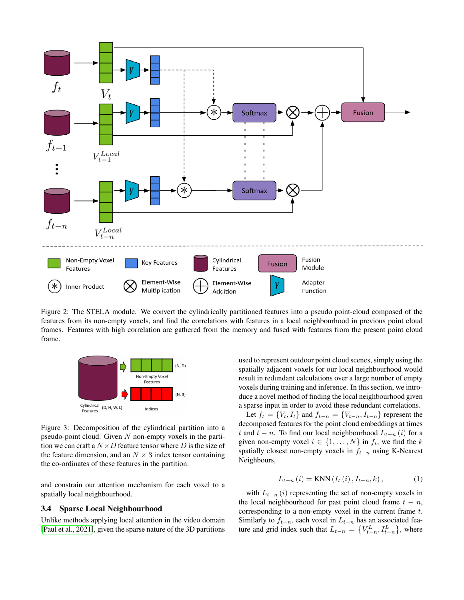

<span id="page-3-0"></span>Figure 2: The STELA module. We convert the cylindrically partitioned features into a pseudo point-cloud composed of the features from its non-empty voxels, and find the correlations with features in a local neighbourhood in previous point cloud frames. Features with high correlation are gathered from the memory and fused with features from the present point cloud frame.



<span id="page-3-1"></span>Figure 3: Decomposition of the cylindrical partition into a pseudo-point cloud. Given  $N$  non-empty voxels in the partition we can craft a  $N \times D$  feature tensor where D is the size of the feature dimension, and an  $N \times 3$  index tensor containing the co-ordinates of these features in the partition.

and constrain our attention mechanism for each voxel to a spatially local neighbourhood.

### <span id="page-3-2"></span>3.4 Sparse Local Neighbourhood

Unlike methods applying local attention in the video domain [\[Paul et al., 2021\]](#page-7-5), given the sparse nature of the 3D partitions used to represent outdoor point cloud scenes, simply using the spatially adjacent voxels for our local neighbourhood would result in redundant calculations over a large number of empty voxels during training and inference. In this section, we introduce a novel method of finding the local neighbourhood given a sparse input in order to avoid these redundant correlations.

Let  $f_t = \{V_t, I_t\}$  and  $f_{t-n} = \{V_{t-n}, I_{t-n}\}$  represent the decomposed features for the point cloud embeddings at times t and  $t - n$ . To find our local neighbourhood  $L_{t-n}(i)$  for a given non-empty voxel  $i \in \{1, ..., N\}$  in  $f_t$ , we find the k spatially closest non-empty voxels in  $f_{t-n}$  using K-Nearest Neighbours,

$$
L_{t-n} (i) = \text{KNN} (I_t (i), I_{t-n}, k), \qquad (1)
$$

with  $L_{t-n}(i)$  representing the set of non-empty voxels in the local neighbourhood for past point cloud frame  $t - n$ , corresponding to a non-empty voxel in the current frame t. Similarly to  $f_{t-n}$ , each voxel in  $L_{t-n}$  has an associated feature and grid index such that  $L_{t-n} = \{V_{t-n}^L, I_{t-n}^L\}$ , where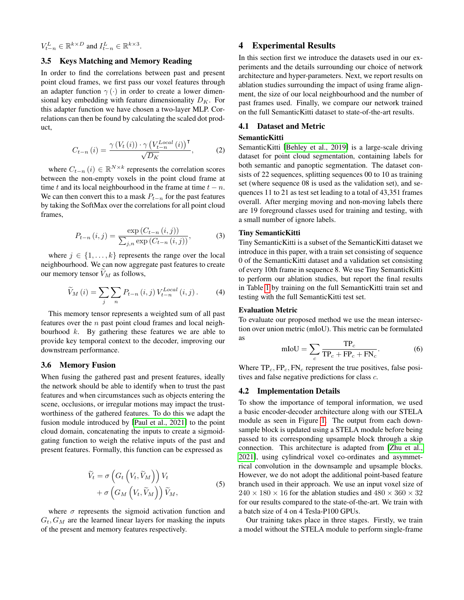$$
V_{t-n}^{L} \in \mathbb{R}^{k \times D} \text{ and } I_{t-n}^{L} \in \mathbb{R}^{k \times 3}.
$$

### <span id="page-4-0"></span>3.5 Keys Matching and Memory Reading

In order to find the correlations between past and present point cloud frames, we first pass our voxel features through an adapter function  $\gamma(\cdot)$  in order to create a lower dimensional key embedding with feature dimensionality  $D_K$ . For this adapter function we have chosen a two-layer MLP. Correlations can then be found by calculating the scaled dot product,

$$
C_{t-n}(i) = \frac{\gamma\left(V_t(i)\right) \cdot \gamma\left(V_{t-n}^{Local}(i)\right)^{\mathsf{T}}}{\sqrt{D_K}},\tag{2}
$$

where  $C_{t-n}$   $(i) \in \mathbb{R}^{N \times k}$  represents the correlation scores between the non-empty voxels in the point cloud frame at time t and its local neighbourhood in the frame at time  $t - n$ . We can then convert this to a mask  $P_{t-n}$  for the past features by taking the SoftMax over the correlations for all point cloud frames,

$$
P_{t-n}(i,j) = \frac{\exp(C_{t-n}(i,j))}{\sum_{j,n} \exp(C_{t-n}(i,j))},
$$
 (3)

where  $j \in \{1, \ldots, k\}$  represents the range over the local neighbourhood. We can now aggregate past features to create our memory tensor  $V_M$  as follows,

$$
\widetilde{V}_M(i) = \sum_{j} \sum_{n} P_{t-n}(i,j) V_{t-n}^{Local}(i,j).
$$
 (4)

This memory tensor represents a weighted sum of all past features over the  $n$  past point cloud frames and local neighbourhood  $k$ . By gathering these features we are able to provide key temporal context to the decoder, improving our downstream performance.

### <span id="page-4-1"></span>3.6 Memory Fusion

When fusing the gathered past and present features, ideally the network should be able to identify when to trust the past features and when circumstances such as objects entering the scene, occlusions, or irregular motions may impact the trustworthiness of the gathered features. To do this we adapt the fusion module introduced by [\[Paul et al., 2021\]](#page-7-5) to the point cloud domain, concatenating the inputs to create a sigmoidgating function to weigh the relative inputs of the past and present features. Formally, this function can be expressed as

$$
\widetilde{V}_t = \sigma \left( G_t \left( V_t, \widetilde{V}_M \right) \right) V_t + \sigma \left( G_M \left( V_t, \widetilde{V}_M \right) \right) \widetilde{V}_M,
$$
\n(5)

where  $\sigma$  represents the sigmoid activation function and  $G_t$ ,  $G_M$  are the learned linear layers for masking the inputs of the present and memory features respectively.

# 4 Experimental Results

In this section first we introduce the datasets used in our experiments and the details surrounding our choice of network architecture and hyper-parameters. Next, we report results on ablation studies surrounding the impact of using frame alignment, the size of our local neighbourhood and the number of past frames used. Finally, we compare our network trained on the full SemanticKitti dataset to state-of-the-art results.

### 4.1 Dataset and Metric

#### SemanticKitti

SemanticKitti [\[Behley et al., 2019\]](#page-6-0) is a large-scale driving dataset for point cloud segmentation, containing labels for both semantic and panoptic segmentation. The dataset consists of 22 sequences, splitting sequences 00 to 10 as training set (where sequence 08 is used as the validation set), and sequences 11 to 21 as test set leading to a total of 43,351 frames overall. After merging moving and non-moving labels there are 19 foreground classes used for training and testing, with a small number of ignore labels.

### Tiny SemanticKitti

Tiny SemanticKitti is a subset of the SemanticKitti dataset we introduce in this paper, with a train set consisting of sequence 0 of the SemanticKitti dataset and a validation set consisting of every 10th frame in sequence 8. We use Tiny SemanticKitti to perform our ablation studies, but report the final results in Table [1](#page-5-0) by training on the full SemanticKitti train set and testing with the full SemanticKitti test set.

### Evaluation Metric

To evaluate our proposed method we use the mean intersection over union metric (mIoU). This metric can be formulated as

$$
mIoU = \sum_{c} \frac{TP_c}{TP_c + FP_c + FN_c}.
$$
 (6)

Where  $TP_c$ ,  $FP_c$ ,  $FN_c$  represent the true positives, false positives and false negative predictions for class c.

#### 4.2 Implementation Details

To show the importance of temporal information, we used a basic encoder-decoder architecture along with our STELA module as seen in Figure [1.](#page-2-2) The output from each downsample block is updated using a STELA module before being passed to its corresponding upsample block through a skip connection. This architecture is adapted from [\[Zhu et al.,](#page-7-9) [2021\]](#page-7-9), using cylindrical voxel co-ordinates and asymmetrical convolution in the downsample and upsample blocks. However, we do not adopt the additional point-based feature branch used in their approach. We use an input voxel size of  $240 \times 180 \times 16$  for the ablation studies and  $480 \times 360 \times 32$ for our results compared to the state-of-the-art. We train with a batch size of 4 on 4 Tesla-P100 GPUs.

Our training takes place in three stages. Firstly, we train a model without the STELA module to perform single-frame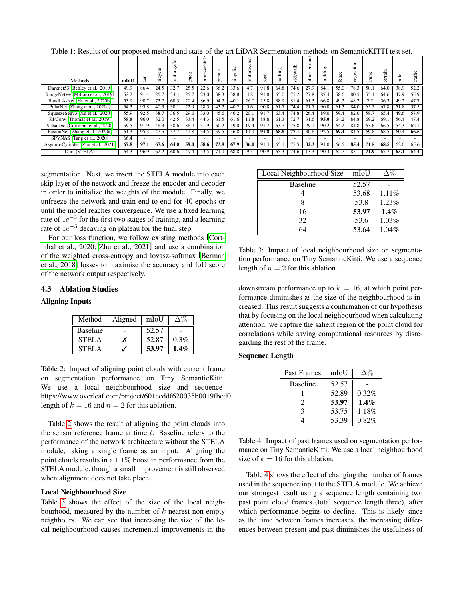| <b>Methods</b>                     | mIoU | ੜ      | ౨<br>٠D<br>⋋<br>- ج      | ්e<br>∽<br>motorc        | ≚<br>ਨ | ehicle<br>other- | son<br>æ. | $\sim$<br>≔<br>ರ<br>∽<br>Ьc | P.<br>.<br>$\bullet$<br>motorc | road | <b>b</b><br>₫<br>$\overline{\phantom{0}}$ | ੜੋ<br>ಕಿ<br>÷. | 검<br>other | 50<br>1ding<br>≔<br>ੜ | ω<br>ă | getation<br>٥ | trunk  | rrain<br>Q | pole | ക<br>a            |
|------------------------------------|------|--------|--------------------------|--------------------------|--------|------------------|-----------|-----------------------------|--------------------------------|------|-------------------------------------------|----------------|------------|-----------------------|--------|---------------|--------|------------|------|-------------------|
| Darknet53 [Behley et al., 2019]    | 49.9 | 86.4   | 24.5                     | 32.7                     | 25.5   | 22.6             | 36.2      | 33.6                        | 4.7                            | 91.8 | 64.8                                      | 74.6           | 27.9       | 84.1                  | 55.0   | 78.3          | 50.1   | 64.0       | 38.9 | 52.2              |
| RangeNet++ [Milioto et al., 2019]  | 52.2 | 91.4   | 25.7                     | 34.4                     | 25.7   | 23.0             | 38.3      | 38.8                        | 4.8                            | 91.8 | 65.0                                      | 75.2           | 27.8       | 87.4                  | 58.6   | 80.5          | 55.1   | 64.6       | 47.9 | 55.9              |
| RandLA-Net [Hu et al., 2020b]      | 53.9 | 90.7   | 73.7                     | 60.3                     | 20.4   | 86.9             | 94.2      | 40.1                        | 26.0                           | 25.8 | 38.9                                      | 81.4           | 61.3       | 66.8                  | 49.2   | 48.2          | 7.2    | 56.3       | 49.2 | 47.7              |
| PolarNet [Zhang et al., 2020c]     | 54.3 | 93.8   | 40.3                     | 30.1                     | 22.9   | 28.5             | 43.2      | 40.2                        | 5.6                            | 90.8 | 61.7                                      | 74.4           | 21.7       | 90.0                  | 61.3   | 84.0          | 65.5   | 67.8       | 51.8 | $\overline{57.5}$ |
| SqueezeSegv3 [Xu et al., 2020]     | 55.9 | 92.5   | 38.7                     | 36.5                     | 29.6   | 33.0             | 45.6      | 46.2                        | 20.1                           | 91.7 | 63.4                                      | 74.8           | 26.4       | 89.0                  | 59.4   | 82.0          | 58.7   | 65.4       | 49.6 | 58.9              |
| KPConv [Thomas et al., 2019]       | 58.8 | 96.0   | 32.0                     | 42.5                     | 33.4   | 44.3             | 61.5      | 61.6                        | 11.8                           | 88.8 | 61.3                                      | 72.7           | 31.6       | 95.0                  | 64.2   | 84.8          | 69.2   | 69.1       | 56.4 | 47.4              |
| Salsanext [Cortinhal et al., 2020] | 59.5 | 91.9   | 48.3                     | 38.6                     | 38.9   | 31.9             | 60.2      | 59.0                        | 19.4                           | 91.7 | $\overline{63.7}$                         | 75.8           | 29.1       | 90.2                  | 64.2   | 81.8          | 63.6   | 66.5       | 54.3 | 62.1              |
| FusionNet [Zhang et al., 2020a]    | 61.3 | 95.3   | 47.5                     | 37.7                     | 41.8   | 34.5             | 59.5      | 56.8                        | 11.9                           | 91.8 | 68.8                                      | 77.1           | 30.8       | 92.5                  | 69.4   | 84.5          | 69.8   | 68.5       | 60.4 | 66.5              |
| SPVNAS [Tang et al., 2020]         | 66.4 | $\sim$ | $\overline{\phantom{a}}$ | $\overline{\phantom{a}}$ |        | -                |           |                             |                                |      |                                           |                |            |                       |        |               | $\sim$ |            | -    |                   |
| Asymm-Cylinder [Zhu et al., 2021]  | 67.8 | 97.1   | 67.6                     | 64.0                     | 59.0   | 58.6             | 73.9      | 67.9                        | 36.0                           | 91.4 | 65.1                                      | 75.5           | 32.3       | 91.0                  | 66.5   | 85.4          | 71.8   | 68.5       | 62.6 | 65.6              |
| Ours (STELA)                       | 64.3 | 96.9   | 62.2                     | 60.6                     | 49.4   | 53.5             | 71.9      | 68.8                        | 9.3                            | 90.9 | 65.3                                      | 74.6           | 13.3       | 90.3                  | 62.7   | 85.1          | 71.9   | 67.7       | 63.1 | 64.4              |

<span id="page-5-0"></span>Table 1: Results of our proposed method and state-of-the-art LiDAR Segmentation methods on SemanticKITTI test set.

segmentation. Next, we insert the STELA module into each skip layer of the network and freeze the encoder and decoder in order to initialize the weights of the module. Finally, we unfreeze the network and train end-to-end for 40 epochs or until the model reaches convergence. We use a fixed learning rate of  $1e^{-3}$  for the first two stages of training, and a learning rate of  $1e^{-5}$  decaying on plateau for the final step.

For our loss function, we follow existing methods [\[Cort](#page-6-9)[inhal et al., 2020;](#page-6-9) [Zhu et al., 2021\]](#page-7-9) and use a combination of the weighted cross-entropy and lovasz-softmax [\[Berman](#page-6-20) [et al., 2018\]](#page-6-20) losses to maximise the accuracy and IoU score of the network output respectively.

### 4.3 Ablation Studies

### Aligning Inputs

| Method          | Aligned | mIoU  |         |
|-----------------|---------|-------|---------|
| <b>Baseline</b> |         | 52.57 |         |
| <b>STELA</b>    | x       | 52.87 | $0.3\%$ |
| <b>STELA</b>    |         | 53.97 | $1.4\%$ |

<span id="page-5-1"></span>Table 2: Impact of aligning point clouds with current frame on segmentation performance on Tiny SemanticKitti. We use a local neighbourhood size and sequencehttps://www.overleaf.com/project/601ccddf620035b0019fbed0 length of  $k = 16$  and  $n = 2$  for this ablation.

Table [2](#page-5-1) shows the result of aligning the point clouds into the sensor reference frame at time  $t$ . Baseline refers to the performance of the network architecture without the STELA module, taking a single frame as an input. Aligning the point clouds results in a 1.1% boost in performance from the STELA module, though a small improvement is still observed when alignment does not take place.

#### Local Neighbourhood Size

Table [3](#page-5-2) shows the effect of the size of the local neighbourhood, measured by the number of  $k$  nearest non-empty neighbours. We can see that increasing the size of the local neighbourhood causes incremental improvements in the

| Local Neighbourhood Size | mIoU  |       |
|--------------------------|-------|-------|
| <b>Baseline</b>          | 52.57 |       |
|                          | 53.68 | 1.11% |
|                          | 53.8  | 1.23% |
| 16                       | 53.97 | 1.4%  |
| 32                       | 53.6  | 1.03% |
| 64                       | 53.64 | 1.04% |

<span id="page-5-2"></span>Table 3: Impact of local neighbourhood size on segmentation performance on Tiny SemanticKitti. We use a sequence length of  $n = 2$  for this ablation.

downstream performance up to  $k = 16$ , at which point performance diminishes as the size of the neighbourhood is increased. This result suggests a confirmation of our hypothesis that by focusing on the local neighbourhood when calculating attention, we capture the salient region of the point cloud for correlations while saving computational resources by disregarding the rest of the frame.

#### Sequence Length

| Past Frames     | mIoU  | $\Delta\%$ |
|-----------------|-------|------------|
| <b>Baseline</b> | 52.57 |            |
|                 | 52.89 | 0.32%      |
| $\mathfrak{D}$  | 53.97 | $1.4\%$    |
| $\mathbf 3$     | 53.75 | 1.18%      |
|                 | 53.39 | 0.82%      |

<span id="page-5-3"></span>Table 4: Impact of past frames used on segmentation performance on Tiny SemanticKitti. We use a local neighbourhood size of  $k = 16$  for this ablation.

Table [4](#page-5-3) shows the effect of changing the number of frames used in the sequence input to the STELA module. We achieve our strongest result using a sequence length containing two past point cloud frames (total sequence length three), after which performance begins to decline. This is likely since as the time between frames increases, the increasing differences between present and past diminishes the usefulness of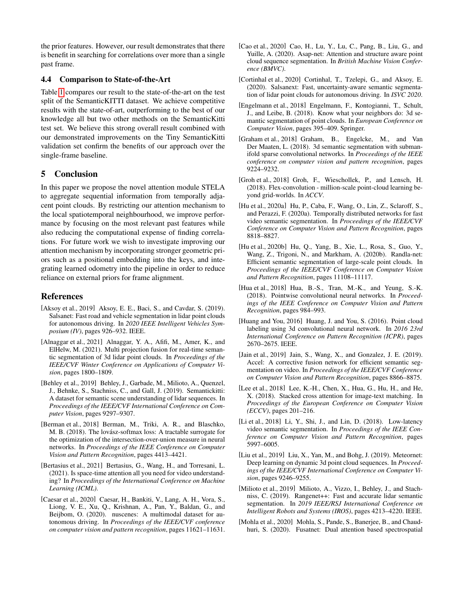the prior features. However, our result demonstrates that there is benefit in searching for correlations over more than a single past frame.

### 4.4 Comparison to State-of-the-Art

Table [1](#page-5-0) compares our result to the state-of-the-art on the test split of the SemanticKITTI dataset. We achieve competitive results with the state-of-art, outperforming to the best of our knowledge all but two other methods on the SemanticKitti test set. We believe this strong overall result combined with our demonstrated improvements on the Tiny SemanticKitti validation set confirm the benefits of our approach over the single-frame baseline.

# 5 Conclusion

In this paper we propose the novel attention module STELA to aggregate sequential information from temporally adjacent point clouds. By restricting our attention mechanism to the local spatiotemporal neighbourhood, we improve performance by focusing on the most relevant past features while also reducing the computational expense of finding correlations. For future work we wish to investigate improving our attention mechanism by incorporating stronger geometric priors such as a positional embedding into the keys, and integrating learned odometry into the pipeline in order to reduce reliance on external priors for frame alignment.

# References

- <span id="page-6-10"></span>[Aksoy et al., 2019] Aksoy, E. E., Baci, S., and Cavdar, S. (2019). Salsanet: Fast road and vehicle segmentation in lidar point clouds for autonomous driving. In *2020 IEEE Intelligent Vehicles Symposium (IV)*, pages 926–932. IEEE.
- <span id="page-6-11"></span>[Alnaggar et al., 2021] Alnaggar, Y. A., Afifi, M., Amer, K., and ElHelw, M. (2021). Multi projection fusion for real-time semantic segmentation of 3d lidar point clouds. In *Proceedings of the IEEE/CVF Winter Conference on Applications of Computer Vision*, pages 1800–1809.
- <span id="page-6-0"></span>[Behley et al., 2019] Behley, J., Garbade, M., Milioto, A., Quenzel, J., Behnke, S., Stachniss, C., and Gall, J. (2019). Semantickitti: A dataset for semantic scene understanding of lidar sequences. In *Proceedings of the IEEE/CVF International Conference on Computer Vision*, pages 9297–9307.
- <span id="page-6-20"></span>[Berman et al., 2018] Berman, M., Triki, A. R., and Blaschko, M. B. (2018). The lovász-softmax loss: A tractable surrogate for the optimization of the intersection-over-union measure in neural networks. In *Proceedings of the IEEE Conference on Computer Vision and Pattern Recognition*, pages 4413–4421.
- <span id="page-6-18"></span>[Bertasius et al., 2021] Bertasius, G., Wang, H., and Torresani, L. (2021). Is space-time attention all you need for video understanding? In *Proceedings of the International Conference on Machine Learning (ICML)*.
- <span id="page-6-1"></span>[Caesar et al., 2020] Caesar, H., Bankiti, V., Lang, A. H., Vora, S., Liong, V. E., Xu, Q., Krishnan, A., Pan, Y., Baldan, G., and Beijbom, O. (2020). nuscenes: A multimodal dataset for autonomous driving. In *Proceedings of the IEEE/CVF conference on computer vision and pattern recognition*, pages 11621–11631.
- <span id="page-6-5"></span>[Cao et al., 2020] Cao, H., Lu, Y., Lu, C., Pang, B., Liu, G., and Yuille, A. (2020). Asap-net: Attention and structure aware point cloud sequence segmentation. In *British Machine Vision Conference (BMVC)*.
- <span id="page-6-9"></span>[Cortinhal et al., 2020] Cortinhal, T., Tzelepi, G., and Aksoy, E. (2020). Salsanext: Fast, uncertainty-aware semantic segmentation of lidar point clouds for autonomous driving. In *ISVC 2020*.
- <span id="page-6-12"></span>[Engelmann et al., 2018] Engelmann, F., Kontogianni, T., Schult, J., and Leibe, B. (2018). Know what your neighbors do: 3d semantic segmentation of point clouds. In *European Conference on Computer Vision*, pages 395–409. Springer.
- <span id="page-6-7"></span>[Graham et al., 2018] Graham, B., Engelcke, M., and Van Der Maaten, L. (2018). 3d semantic segmentation with submanifold sparse convolutional networks. In *Proceedings of the IEEE conference on computer vision and pattern recognition*, pages 9224–9232.
- <span id="page-6-13"></span>[Groh et al., 2018] Groh, F., Wieschollek, P., and Lensch, H. (2018). Flex-convolution - million-scale point-cloud learning beyond grid-worlds. In *ACCV*.
- <span id="page-6-2"></span>[Hu et al., 2020a] Hu, P., Caba, F., Wang, O., Lin, Z., Sclaroff, S., and Perazzi, F. (2020a). Temporally distributed networks for fast video semantic segmentation. In *Proceedings of the IEEE/CVF Conference on Computer Vision and Pattern Recognition*, pages 8818–8827.
- <span id="page-6-19"></span>[Hu et al., 2020b] Hu, Q., Yang, B., Xie, L., Rosa, S., Guo, Y., Wang, Z., Trigoni, N., and Markham, A. (2020b). Randla-net: Efficient semantic segmentation of large-scale point clouds. In *Proceedings of the IEEE/CVF Conference on Computer Vision and Pattern Recognition*, pages 11108–11117.
- <span id="page-6-14"></span>[Hua et al., 2018] Hua, B.-S., Tran, M.-K., and Yeung, S.-K. (2018). Pointwise convolutional neural networks. In *Proceedings of the IEEE Conference on Computer Vision and Pattern Recognition*, pages 984–993.
- <span id="page-6-6"></span>[Huang and You, 2016] Huang, J. and You, S. (2016). Point cloud labeling using 3d convolutional neural network. In *2016 23rd International Conference on Pattern Recognition (ICPR)*, pages 2670–2675. IEEE.
- <span id="page-6-4"></span>[Jain et al., 2019] Jain, S., Wang, X., and Gonzalez, J. E. (2019). Accel: A corrective fusion network for efficient semantic segmentation on video. In *Proceedings of the IEEE/CVF Conference on Computer Vision and Pattern Recognition*, pages 8866–8875.
- <span id="page-6-17"></span>[Lee et al., 2018] Lee, K.-H., Chen, X., Hua, G., Hu, H., and He, X. (2018). Stacked cross attention for image-text matching. In *Proceedings of the European Conference on Computer Vision (ECCV)*, pages 201–216.
- <span id="page-6-3"></span>[Li et al., 2018] Li, Y., Shi, J., and Lin, D. (2018). Low-latency video semantic segmentation. In *Proceedings of the IEEE Conference on Computer Vision and Pattern Recognition*, pages 5997–6005.
- <span id="page-6-15"></span>[Liu et al., 2019] Liu, X., Yan, M., and Bohg, J. (2019). Meteornet: Deep learning on dynamic 3d point cloud sequences. In *Proceedings of the IEEE/CVF International Conference on Computer Vision*, pages 9246–9255.
- <span id="page-6-8"></span>[Milioto et al., 2019] Milioto, A., Vizzo, I., Behley, J., and Stachniss, C. (2019). Rangenet++: Fast and accurate lidar semantic segmentation. In *2019 IEEE/RSJ International Conference on Intelligent Robots and Systems (IROS)*, pages 4213–4220. IEEE.
- <span id="page-6-16"></span>[Mohla et al., 2020] Mohla, S., Pande, S., Banerjee, B., and Chaudhuri, S. (2020). Fusatnet: Dual attention based spectrospatial